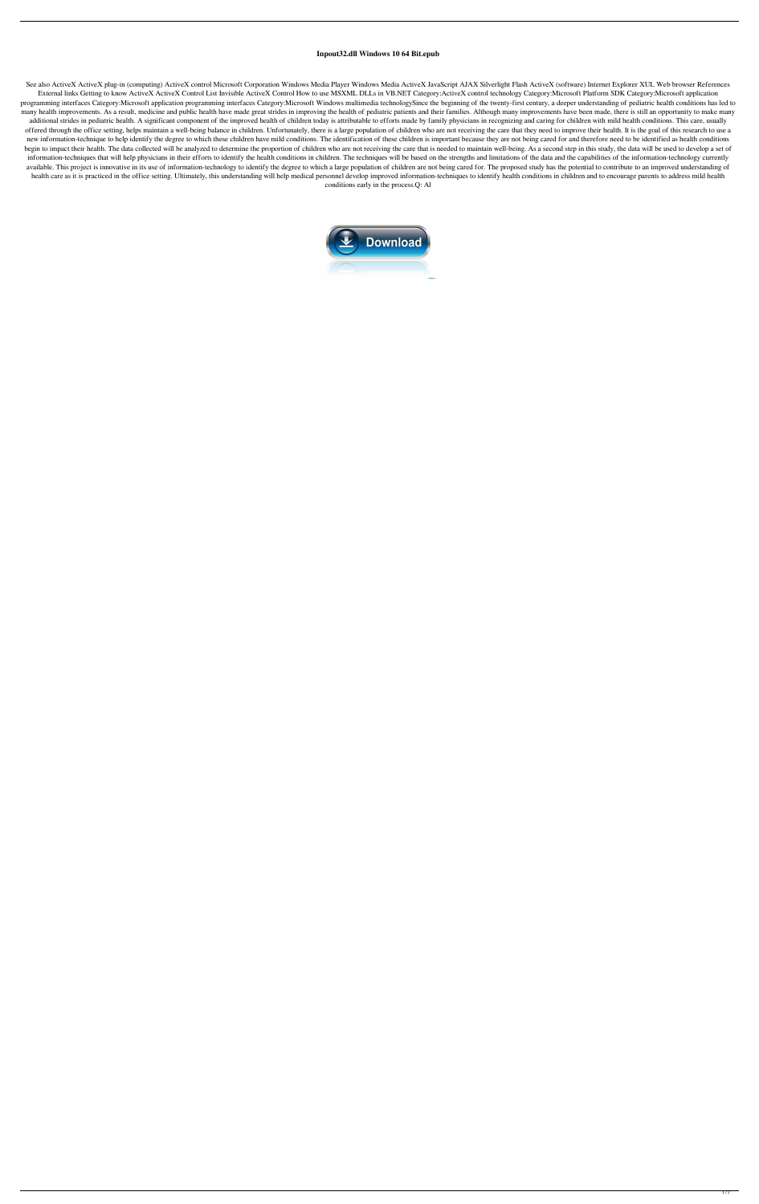## **Inpout32.dll Windows 10 64 Bit.epub**

See also ActiveX ActiveX plug-in (computing) ActiveX control Microsoft Corporation Windows Media Player Windows Media ActiveX JavaScript AJAX Silverlight Flash ActiveX (software) Internet Explorer XUL Web browser References External links Getting to know ActiveX ActiveX Control List Invisible ActiveX Control How to use MSXML DLLs in VB.NET Category:ActiveX control technology Category:Microsoft Platform SDK Category:Microsoft application programming interfaces Category:Microsoft application programming interfaces Category:Microsoft Windows multimedia technologySince the beginning of the twenty-first century, a deeper understanding of pediatric health condi many health improvements. As a result, medicine and public health have made great strides in improving the health of pediatric patients and their families. Although many improvements have been made, there is still an oppor additional strides in pediatric health. A significant component of the improved health of children today is attributable to efforts made by family physicians in recognizing and caring for children with mild health conditio offered through the office setting, helps maintain a well-being balance in children. Unfortunately, there is a large population of children who are not receiving the care that they need to improve their health. It is the g new information-technique to help identify the degree to which these children have mild conditions. The identification of these children is important because they are not being cared for and therefore need to be identified begin to impact their health. The data collected will be analyzed to determine the proportion of children who are not receiving the care that is needed to maintain well-being. As a second step in this study, the data will information-techniques that will help physicians in their efforts to identify the health conditions in children. The techniques will be based on the strengths and limitations of the data and the capabilities of the informa available. This project is innovative in its use of information-technology to identify the degree to which a large population of children are not being cared for. The proposed study has the potential to contribute to an im health care as it is practiced in the office setting. Ultimately, this understanding will help medical personnel develop improved information-techniques to identify health conditions in children and to encourage parents to conditions early in the process.Q: Al